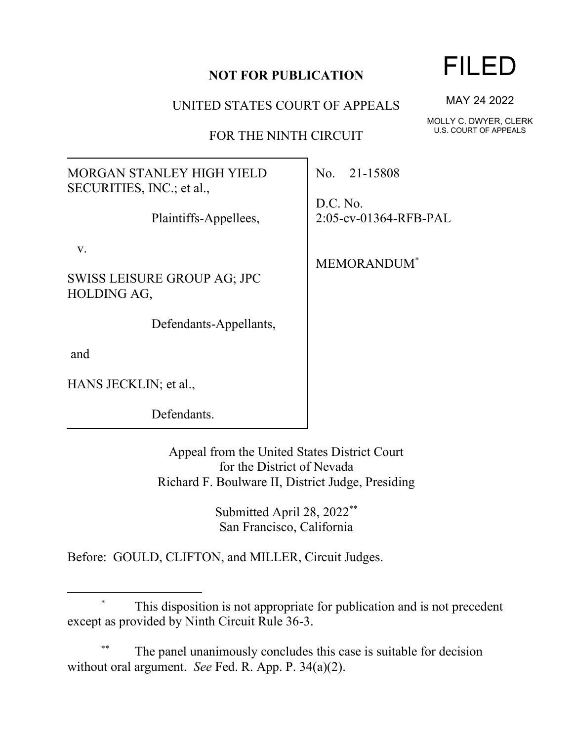## **NOT FOR PUBLICATION**

UNITED STATES COURT OF APPEALS

FOR THE NINTH CIRCUIT

MORGAN STANLEY HIGH YIELD SECURITIES, INC.; et al.,

Plaintiffs-Appellees,

v.

SWISS LEISURE GROUP AG; JPC HOLDING AG,

Defendants-Appellants,

and

HANS JECKLIN; et al.,

Defendants.

Appeal from the United States District Court for the District of Nevada Richard F. Boulware II, District Judge, Presiding

> Submitted April 28, 2022 \*\* San Francisco, California

Before: GOULD, CLIFTON, and MILLER, Circuit Judges.

## \* This disposition is not appropriate for publication and is not precedent except as provided by Ninth Circuit Rule 36-3.

The panel unanimously concludes this case is suitable for decision without oral argument. *See* Fed. R. App. P. 34(a)(2).

## FILED

MAY 24 2022

MOLLY C. DWYER, CLERK U.S. COURT OF APPEALS

No. 21-15808

D.C. No. 2:05-cv-01364-RFB-PAL

MEMORANDUM\*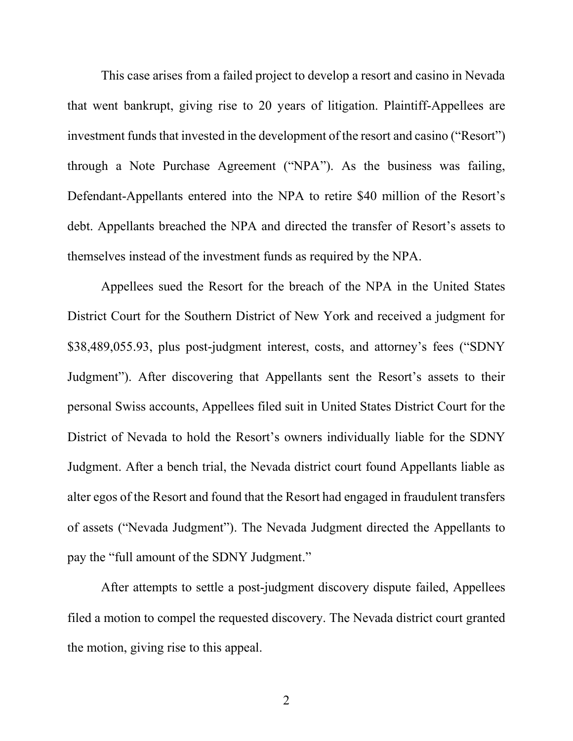This case arises from a failed project to develop a resort and casino in Nevada that went bankrupt, giving rise to 20 years of litigation. Plaintiff-Appellees are investment funds that invested in the development of the resort and casino ("Resort") through a Note Purchase Agreement ("NPA"). As the business was failing, Defendant-Appellants entered into the NPA to retire \$40 million of the Resort's debt. Appellants breached the NPA and directed the transfer of Resort's assets to themselves instead of the investment funds as required by the NPA.

Appellees sued the Resort for the breach of the NPA in the United States District Court for the Southern District of New York and received a judgment for \$38,489,055.93, plus post-judgment interest, costs, and attorney's fees ("SDNY Judgment"). After discovering that Appellants sent the Resort's assets to their personal Swiss accounts, Appellees filed suit in United States District Court for the District of Nevada to hold the Resort's owners individually liable for the SDNY Judgment. After a bench trial, the Nevada district court found Appellants liable as alter egos of the Resort and found that the Resort had engaged in fraudulent transfers of assets ("Nevada Judgment"). The Nevada Judgment directed the Appellants to pay the "full amount of the SDNY Judgment."

After attempts to settle a post-judgment discovery dispute failed, Appellees filed a motion to compel the requested discovery. The Nevada district court granted the motion, giving rise to this appeal.

2 a set of  $\sim$  2 a set of  $\sim$  2 a set of  $\sim$  2 a set of  $\sim$  3 a set of  $\sim$  3 a set of  $\sim$  3 a set of  $\sim$  3 a set of  $\sim$  3 a set of  $\sim$  3 a set of  $\sim$  3 a set of  $\sim$  3 a set of  $\sim$  3 a set of  $\sim$  3 a set of  $\sim$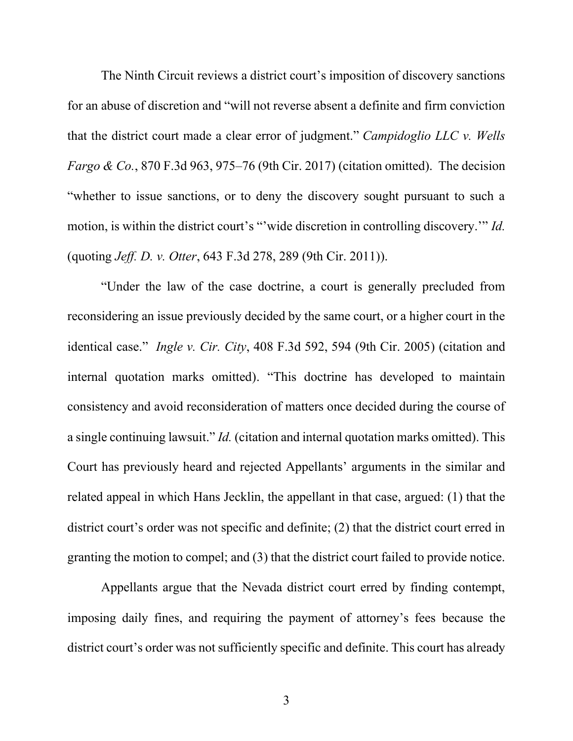The Ninth Circuit reviews a district court's imposition of discovery sanctions for an abuse of discretion and "will not reverse absent a definite and firm conviction that the district court made a clear error of judgment." *Campidoglio LLC v. Wells Fargo & Co.*, 870 F.3d 963, 975–76 (9th Cir. 2017) (citation omitted). The decision "whether to issue sanctions, or to deny the discovery sought pursuant to such a motion, is within the district court's "'wide discretion in controlling discovery.'" *Id.*  (quoting *Jeff. D. v. Otter*, 643 F.3d 278, 289 (9th Cir. 2011)).

"Under the law of the case doctrine, a court is generally precluded from reconsidering an issue previously decided by the same court, or a higher court in the identical case." *Ingle v. Cir. City*, 408 F.3d 592, 594 (9th Cir. 2005) (citation and internal quotation marks omitted). "This doctrine has developed to maintain consistency and avoid reconsideration of matters once decided during the course of a single continuing lawsuit." *Id.* (citation and internal quotation marks omitted). This Court has previously heard and rejected Appellants' arguments in the similar and related appeal in which Hans Jecklin, the appellant in that case, argued: (1) that the district court's order was not specific and definite; (2) that the district court erred in granting the motion to compel; and (3) that the district court failed to provide notice.

Appellants argue that the Nevada district court erred by finding contempt, imposing daily fines, and requiring the payment of attorney's fees because the district court's order was not sufficiently specific and definite. This court has already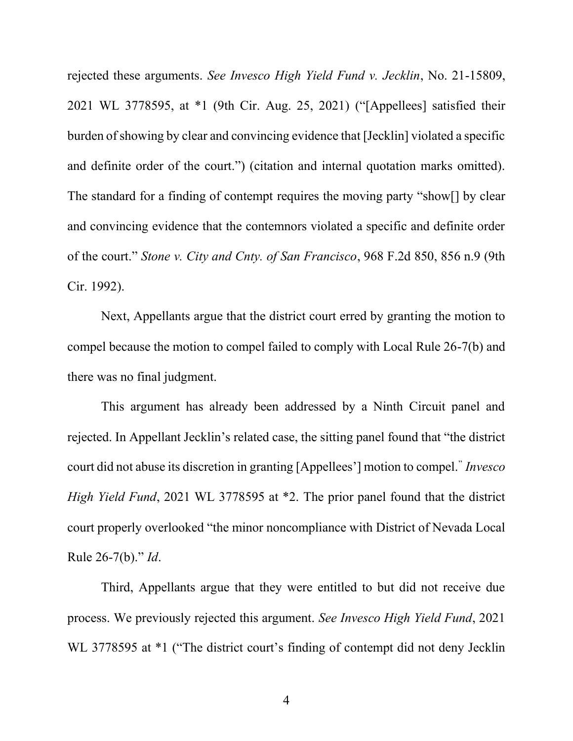rejected these arguments. *See Invesco High Yield Fund v. Jecklin*, No. 21-15809, 2021 WL 3778595, at \*1 (9th Cir. Aug. 25, 2021) ("[Appellees] satisfied their burden of showing by clear and convincing evidence that [Jecklin] violated a specific and definite order of the court.") (citation and internal quotation marks omitted). The standard for a finding of contempt requires the moving party "show[] by clear and convincing evidence that the contemnors violated a specific and definite order of the court." *Stone v. City and Cnty. of San Francisco*, 968 F.2d 850, 856 n.9 (9th Cir. 1992).

Next, Appellants argue that the district court erred by granting the motion to compel because the motion to compel failed to comply with Local Rule 26-7(b) and there was no final judgment.

This argument has already been addressed by a Ninth Circuit panel and rejected. In Appellant Jecklin's related case, the sitting panel found that "the district court did not abuse its discretion in granting [Appellees'] motion to compel." *Invesco High Yield Fund*, 2021 WL 3778595 at \*2. The prior panel found that the district court properly overlooked "the minor noncompliance with District of Nevada Local Rule 26-7(b)." *Id*.

Third, Appellants argue that they were entitled to but did not receive due process. We previously rejected this argument. *See Invesco High Yield Fund*, 2021 WL 3778595 at  $*1$  ("The district court's finding of contempt did not deny Jecklin